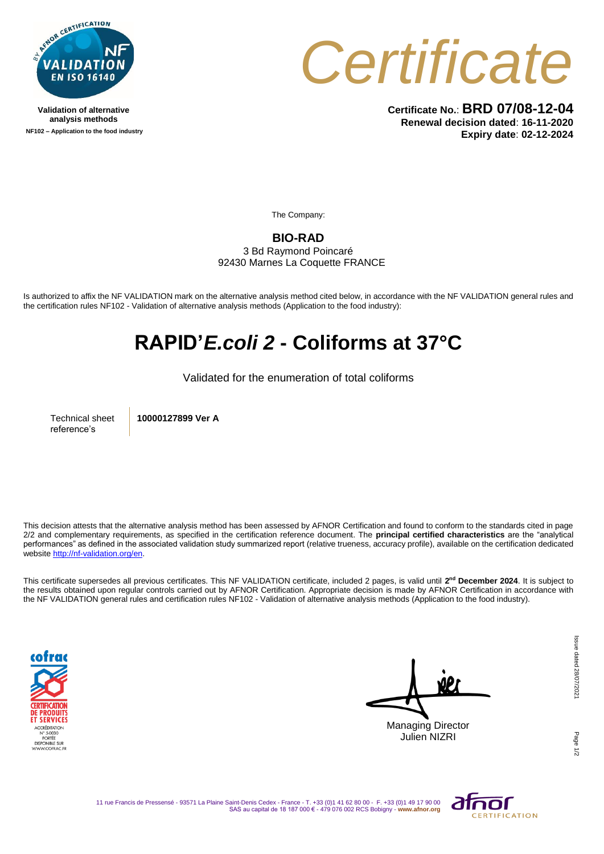

**Validation of alternative analysis methods NF102 – Application to the food industry**



**Certificate No.**: **BRD 07/08-12-04 Renewal decision dated**: **16-11-2020 Expiry date**: **02-12-2024**

The Company:

## **BIO-RAD**

3 Bd Raymond Poincaré 92430 Marnes La Coquette FRANCE

Is authorized to affix the NF VALIDATION mark on the alternative analysis method cited below, in accordance with the NF VALIDATION general rules and the certification rules NF102 - Validation of alternative analysis methods (Application to the food industry):

## **RAPID'***E.coli 2* **- Coliforms at 37°C**

Validated for the enumeration of total coliforms

Technical sheet reference's

**10000127899 Ver A**

This decision attests that the alternative analysis method has been assessed by AFNOR Certification and found to conform to the standards cited in page 2/2 and complementary requirements, as specified in the certification reference document. The **principal certified characteristics** are the "analytical performances" as defined in the associated validation study summarized report (relative trueness, accuracy profile), available on the certification dedicated websit[e http://nf-validation.org/en.](http://nf-validation.org/en)

This certificate supersedes all previous certificates. This NF VALIDATION certificate, included 2 pages, is valid until **2 nd December 2024**. It is subject to the results obtained upon regular controls carried out by AFNOR Certification. Appropriate decision is made by AFNOR Certification in accordance with the NF VALIDATION general rules and certification rules NF102 - Validation of alternative analysis methods (Application to the food industry).



Managing Director Julien NIZRI